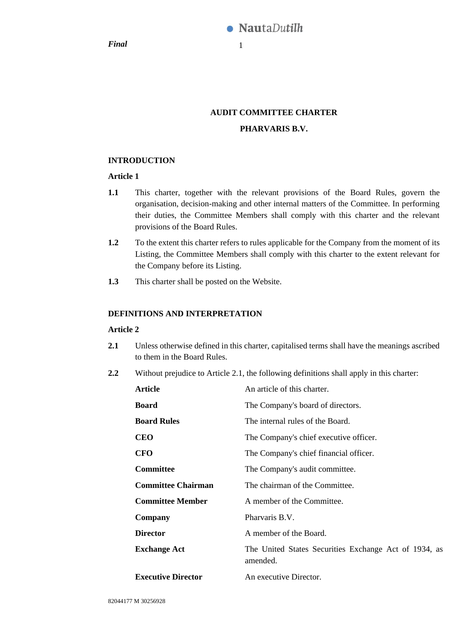**Final** 1

# **AUDIT COMMITTEE CHARTER PHARVARIS B.V.**

## **INTRODUCTION**

## **Article 1**

- **1.1** This charter, together with the relevant provisions of the Board Rules, govern the organisation, decision-making and other internal matters of the Committee. In performing their duties, the Committee Members shall comply with this charter and the relevant provisions of the Board Rules.
- **1.2** To the extent this charter refers to rules applicable for the Company from the moment of its Listing, the Committee Members shall comply with this charter to the extent relevant for the Company before its Listing.
- **1.3** This charter shall be posted on the Website.

## **DEFINITIONS AND INTERPRETATION**

## **Article 2**

- <span id="page-0-0"></span>**2.1** Unless otherwise defined in this charter, capitalised terms shall have the meanings ascribed to them in the Board Rules.
- **2.2** Without prejudice to Article [2.1,](#page-0-0) the following definitions shall apply in this charter:

| <b>Article</b>            | An article of this charter.                                       |
|---------------------------|-------------------------------------------------------------------|
| <b>Board</b>              | The Company's board of directors.                                 |
| <b>Board Rules</b>        | The internal rules of the Board.                                  |
| <b>CEO</b>                | The Company's chief executive officer.                            |
| <b>CFO</b>                | The Company's chief financial officer.                            |
| <b>Committee</b>          | The Company's audit committee.                                    |
| <b>Committee Chairman</b> | The chairman of the Committee.                                    |
| <b>Committee Member</b>   | A member of the Committee.                                        |
| Company                   | Pharvaris B.V.                                                    |
| <b>Director</b>           | A member of the Board.                                            |
| <b>Exchange Act</b>       | The United States Securities Exchange Act of 1934, as<br>amended. |
| <b>Executive Director</b> | An executive Director.                                            |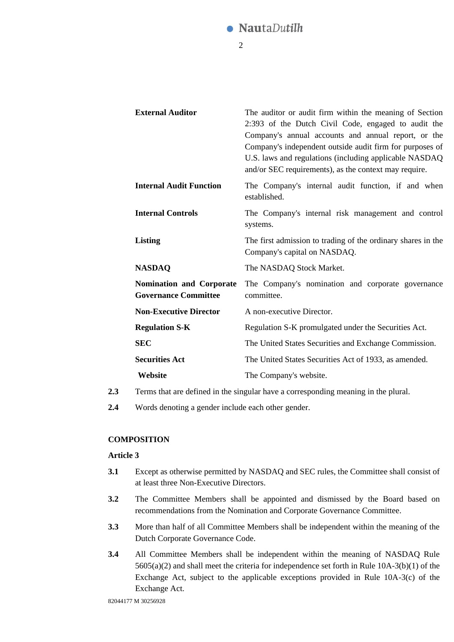

| <b>External Auditor</b>                                        | The auditor or audit firm within the meaning of Section<br>2:393 of the Dutch Civil Code, engaged to audit the<br>Company's annual accounts and annual report, or the<br>Company's independent outside audit firm for purposes of<br>U.S. laws and regulations (including applicable NASDAQ<br>and/or SEC requirements), as the context may require. |
|----------------------------------------------------------------|------------------------------------------------------------------------------------------------------------------------------------------------------------------------------------------------------------------------------------------------------------------------------------------------------------------------------------------------------|
| <b>Internal Audit Function</b>                                 | The Company's internal audit function, if and when<br>established.                                                                                                                                                                                                                                                                                   |
| <b>Internal Controls</b>                                       | The Company's internal risk management and control<br>systems.                                                                                                                                                                                                                                                                                       |
| Listing                                                        | The first admission to trading of the ordinary shares in the<br>Company's capital on NASDAQ.                                                                                                                                                                                                                                                         |
| <b>NASDAQ</b>                                                  | The NASDAQ Stock Market.                                                                                                                                                                                                                                                                                                                             |
| <b>Nomination and Corporate</b><br><b>Governance Committee</b> | The Company's nomination and corporate governance<br>committee.                                                                                                                                                                                                                                                                                      |
| <b>Non-Executive Director</b>                                  | A non-executive Director.                                                                                                                                                                                                                                                                                                                            |
| <b>Regulation S-K</b>                                          | Regulation S-K promulgated under the Securities Act.                                                                                                                                                                                                                                                                                                 |
| <b>SEC</b>                                                     | The United States Securities and Exchange Commission.                                                                                                                                                                                                                                                                                                |
| <b>Securities Act</b>                                          | The United States Securities Act of 1933, as amended.                                                                                                                                                                                                                                                                                                |
| Website                                                        | The Company's website.                                                                                                                                                                                                                                                                                                                               |

- **2.3** Terms that are defined in the singular have a corresponding meaning in the plural.
- **2.4** Words denoting a gender include each other gender.

## **COMPOSITION**

#### **Article 3**

- **3.1** Except as otherwise permitted by NASDAQ and SEC rules, the Committee shall consist of at least three Non-Executive Directors.
- **3.2** The Committee Members shall be appointed and dismissed by the Board based on recommendations from the Nomination and Corporate Governance Committee.
- **3.3** More than half of all Committee Members shall be independent within the meaning of the Dutch Corporate Governance Code.
- **3.4** All Committee Members shall be independent within the meaning of NASDAQ Rule 5605(a)(2) and shall meet the criteria for independence set forth in Rule 10A-3(b)(1) of the Exchange Act, subject to the applicable exceptions provided in Rule 10A-3(c) of the Exchange Act.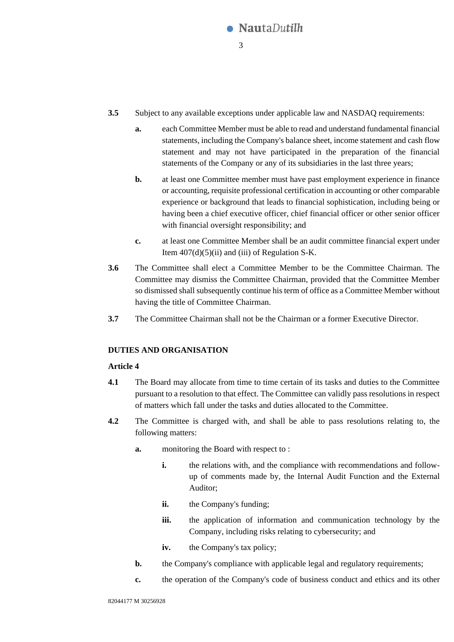

- **3.5** Subject to any available exceptions under applicable law and NASDAQ requirements:
	- **a.** each Committee Member must be able to read and understand fundamental financial statements, including the Company's balance sheet, income statement and cash flow statement and may not have participated in the preparation of the financial statements of the Company or any of its subsidiaries in the last three years;
	- **b.** at least one Committee member must have past employment experience in finance or accounting, requisite professional certification in accounting or other comparable experience or background that leads to financial sophistication, including being or having been a chief executive officer, chief financial officer or other senior officer with financial oversight responsibility; and
	- **c.** at least one Committee Member shall be an audit committee financial expert under Item  $407(d)(5)(ii)$  and (iii) of Regulation S-K.
- **3.6** The Committee shall elect a Committee Member to be the Committee Chairman. The Committee may dismiss the Committee Chairman, provided that the Committee Member so dismissed shall subsequently continue his term of office as a Committee Member without having the title of Committee Chairman.
- **3.7** The Committee Chairman shall not be the Chairman or a former Executive Director.

### **DUTIES AND ORGANISATION**

### **Article 4**

- **4.1** The Board may allocate from time to time certain of its tasks and duties to the Committee pursuant to a resolution to that effect. The Committee can validly pass resolutions in respect of matters which fall under the tasks and duties allocated to the Committee.
- **4.2** The Committee is charged with, and shall be able to pass resolutions relating to, the following matters:
	- **a.** monitoring the Board with respect to :
		- **i.** the relations with, and the compliance with recommendations and followup of comments made by, the Internal Audit Function and the External Auditor;
		- **ii.** the Company's funding;
		- **iii.** the application of information and communication technology by the Company, including risks relating to cybersecurity; and
		- **iv.** the Company's tax policy;
	- **b.** the Company's compliance with applicable legal and regulatory requirements;
	- **c.** the operation of the Company's code of business conduct and ethics and its other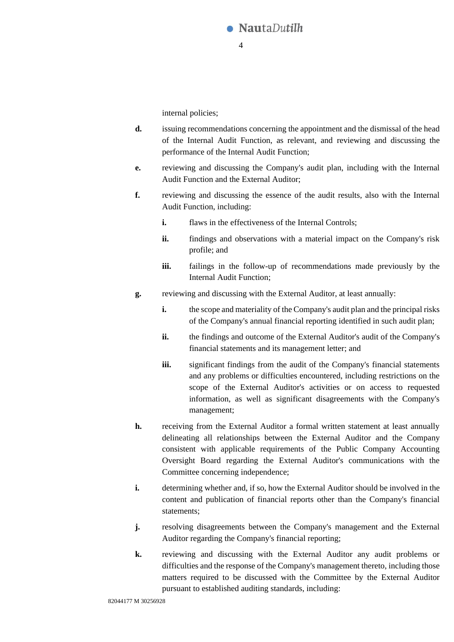

internal policies;

- **d.** issuing recommendations concerning the appointment and the dismissal of the head of the Internal Audit Function, as relevant, and reviewing and discussing the performance of the Internal Audit Function;
- **e.** reviewing and discussing the Company's audit plan, including with the Internal Audit Function and the External Auditor;
- **f.** reviewing and discussing the essence of the audit results, also with the Internal Audit Function, including:
	- **i.** flaws in the effectiveness of the Internal Controls:
	- **ii.** findings and observations with a material impact on the Company's risk profile; and
	- **iii.** failings in the follow-up of recommendations made previously by the Internal Audit Function;
- **g.** reviewing and discussing with the External Auditor, at least annually:
	- **i.** the scope and materiality of the Company's audit plan and the principal risks of the Company's annual financial reporting identified in such audit plan;
	- **ii.** the findings and outcome of the External Auditor's audit of the Company's financial statements and its management letter; and
	- **iii.** significant findings from the audit of the Company's financial statements and any problems or difficulties encountered, including restrictions on the scope of the External Auditor's activities or on access to requested information, as well as significant disagreements with the Company's management;
- **h.** receiving from the External Auditor a formal written statement at least annually delineating all relationships between the External Auditor and the Company consistent with applicable requirements of the Public Company Accounting Oversight Board regarding the External Auditor's communications with the Committee concerning independence;
- **i.** determining whether and, if so, how the External Auditor should be involved in the content and publication of financial reports other than the Company's financial statements;
- **j.** resolving disagreements between the Company's management and the External Auditor regarding the Company's financial reporting;
- **k.** reviewing and discussing with the External Auditor any audit problems or difficulties and the response of the Company's management thereto, including those matters required to be discussed with the Committee by the External Auditor pursuant to established auditing standards, including: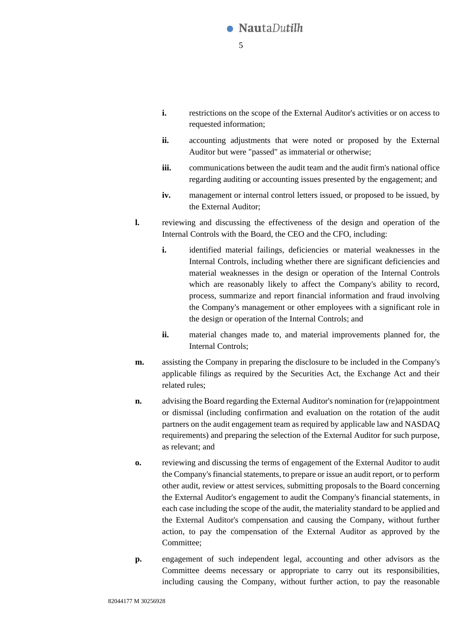

- **i.** restrictions on the scope of the External Auditor's activities or on access to requested information;
- **ii.** accounting adjustments that were noted or proposed by the External Auditor but were "passed" as immaterial or otherwise;
- **iii.** communications between the audit team and the audit firm's national office regarding auditing or accounting issues presented by the engagement; and
- **iv.** management or internal control letters issued, or proposed to be issued, by the External Auditor;
- **l.** reviewing and discussing the effectiveness of the design and operation of the Internal Controls with the Board, the CEO and the CFO, including:
	- **i.** identified material failings, deficiencies or material weaknesses in the Internal Controls, including whether there are significant deficiencies and material weaknesses in the design or operation of the Internal Controls which are reasonably likely to affect the Company's ability to record, process, summarize and report financial information and fraud involving the Company's management or other employees with a significant role in the design or operation of the Internal Controls; and
	- **ii.** material changes made to, and material improvements planned for, the Internal Controls;
- **m.** assisting the Company in preparing the disclosure to be included in the Company's applicable filings as required by the Securities Act, the Exchange Act and their related rules;
- **n.** advising the Board regarding the External Auditor's nomination for (re)appointment or dismissal (including confirmation and evaluation on the rotation of the audit partners on the audit engagement team as required by applicable law and NASDAQ requirements) and preparing the selection of the External Auditor for such purpose, as relevant; and
- **o.** reviewing and discussing the terms of engagement of the External Auditor to audit the Company's financial statements, to prepare or issue an audit report, or to perform other audit, review or attest services, submitting proposals to the Board concerning the External Auditor's engagement to audit the Company's financial statements, in each case including the scope of the audit, the materiality standard to be applied and the External Auditor's compensation and causing the Company, without further action, to pay the compensation of the External Auditor as approved by the Committee;
- **p.** engagement of such independent legal, accounting and other advisors as the Committee deems necessary or appropriate to carry out its responsibilities, including causing the Company, without further action, to pay the reasonable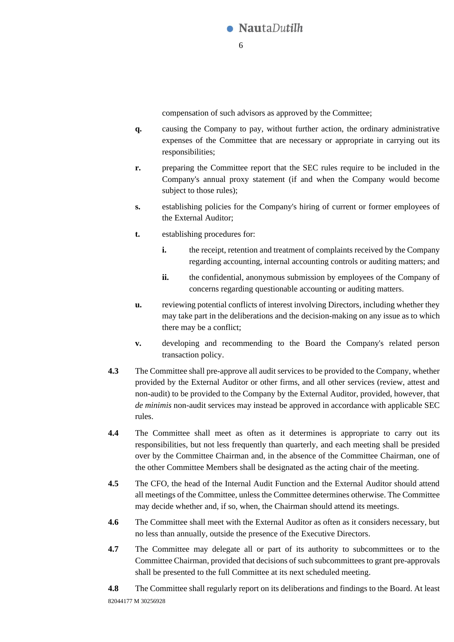

compensation of such advisors as approved by the Committee;

- **q.** causing the Company to pay, without further action, the ordinary administrative expenses of the Committee that are necessary or appropriate in carrying out its responsibilities;
- **r.** preparing the Committee report that the SEC rules require to be included in the Company's annual proxy statement (if and when the Company would become subject to those rules);
- **s.** establishing policies for the Company's hiring of current or former employees of the External Auditor;
- **t.** establishing procedures for:
	- **i.** the receipt, retention and treatment of complaints received by the Company regarding accounting, internal accounting controls or auditing matters; and
	- **ii.** the confidential, anonymous submission by employees of the Company of concerns regarding questionable accounting or auditing matters.
- **u.** reviewing potential conflicts of interest involving Directors, including whether they may take part in the deliberations and the decision-making on any issue as to which there may be a conflict;
- **v.** developing and recommending to the Board the Company's related person transaction policy.
- **4.3** The Committee shall pre-approve all audit services to be provided to the Company, whether provided by the External Auditor or other firms, and all other services (review, attest and non-audit) to be provided to the Company by the External Auditor, provided, however, that *de minimis* non-audit services may instead be approved in accordance with applicable SEC rules.
- **4.4** The Committee shall meet as often as it determines is appropriate to carry out its responsibilities, but not less frequently than quarterly, and each meeting shall be presided over by the Committee Chairman and, in the absence of the Committee Chairman, one of the other Committee Members shall be designated as the acting chair of the meeting.
- **4.5** The CFO, the head of the Internal Audit Function and the External Auditor should attend all meetings of the Committee, unless the Committee determines otherwise. The Committee may decide whether and, if so, when, the Chairman should attend its meetings.
- **4.6** The Committee shall meet with the External Auditor as often as it considers necessary, but no less than annually, outside the presence of the Executive Directors.
- **4.7** The Committee may delegate all or part of its authority to subcommittees or to the Committee Chairman, provided that decisions of such subcommittees to grant pre-approvals shall be presented to the full Committee at its next scheduled meeting.

82044177 M 30256928 **4.8** The Committee shall regularly report on its deliberations and findings to the Board. At least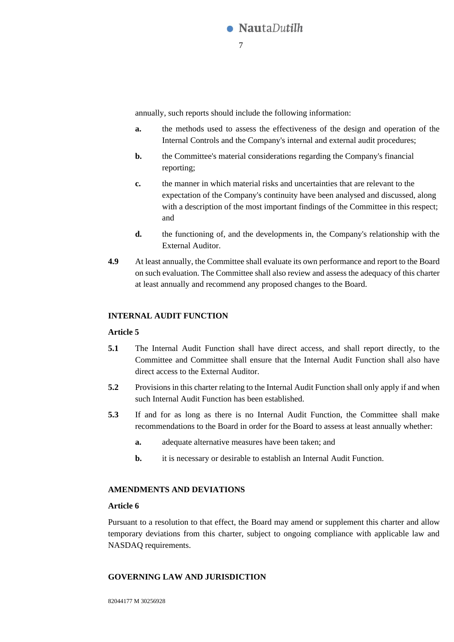

annually, such reports should include the following information:

- **a.** the methods used to assess the effectiveness of the design and operation of the Internal Controls and the Company's internal and external audit procedures;
- **b.** the Committee's material considerations regarding the Company's financial reporting;
- **c.** the manner in which material risks and uncertainties that are relevant to the expectation of the Company's continuity have been analysed and discussed, along with a description of the most important findings of the Committee in this respect; and
- **d.** the functioning of, and the developments in, the Company's relationship with the External Auditor.
- **4.9** At least annually, the Committee shall evaluate its own performance and report to the Board on such evaluation. The Committee shall also review and assess the adequacy of this charter at least annually and recommend any proposed changes to the Board.

### **INTERNAL AUDIT FUNCTION**

#### **Article 5**

- **5.1** The Internal Audit Function shall have direct access, and shall report directly, to the Committee and Committee shall ensure that the Internal Audit Function shall also have direct access to the External Auditor.
- **5.2** Provisions in this charter relating to the Internal Audit Function shall only apply if and when such Internal Audit Function has been established.
- **5.3** If and for as long as there is no Internal Audit Function, the Committee shall make recommendations to the Board in order for the Board to assess at least annually whether:
	- **a.** adequate alternative measures have been taken; and
	- **b.** it is necessary or desirable to establish an Internal Audit Function.

### **AMENDMENTS AND DEVIATIONS**

### **Article 6**

Pursuant to a resolution to that effect, the Board may amend or supplement this charter and allow temporary deviations from this charter, subject to ongoing compliance with applicable law and NASDAQ requirements.

#### **GOVERNING LAW AND JURISDICTION**